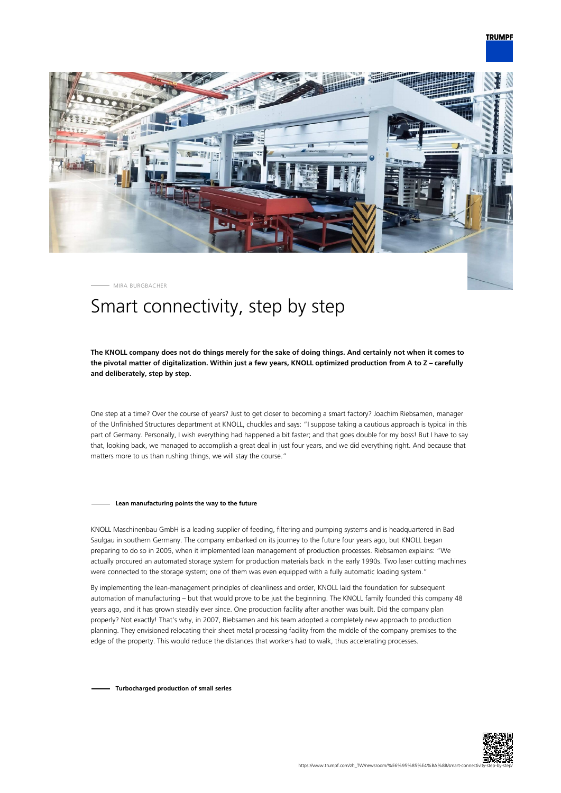

MIRA BURGBACHER

# Smart connectivity, step by step

# **The KNOLL company does not do things merely for the sake of doing things. And certainly not when it comes to the pivotal matter of digitalization. Within just a few years, KNOLL optimized production from A to Z – carefully and deliberately, step by step.**

One step at a time? Over the course of years? Just to get closer to becoming a smart factory? Joachim Riebsamen, manager of the Unfinished Structures department at KNOLL, chuckles and says: "I suppose taking a cautious approach is typical in this part of Germany. Personally, I wish everything had happened a bit faster; and that goes double for my boss! But I have to say that, looking back, we managed to accomplish a great deal in just four years, and we did everything right. And because that matters more to us than rushing things, we will stay the course."

#### **Lean manufacturing points the way to the future**

KNOLL Maschinenbau GmbH is a leading supplier of feeding, filtering and pumping systems and is headquartered in Bad Saulgau in southern Germany. The company embarked on its journey to the future four years ago, but KNOLL began preparing to do so in 2005, when it implemented lean management of production processes. Riebsamen explains: "We actually procured an automated storage system for production materials back in the early 1990s. Two laser cutting machines were connected to the storage system; one of them was even equipped with a fully automatic loading system."

By implementing the lean-management principles of cleanliness and order, KNOLL laid the foundation for subsequent automation of manufacturing – but that would prove to be just the beginning. The KNOLL family founded this company 48 years ago, and it has grown steadily ever since. One production facility after another was built. Did the company plan properly? Not exactly! That's why, in 2007, Riebsamen and his team adopted a completely new approach to production planning. They envisioned relocating their sheet metal processing facility from the middle of the company premises to the edge of the property. This would reduce the distances that workers had to walk, thus accelerating processes.

**Turbocharged production of small series**

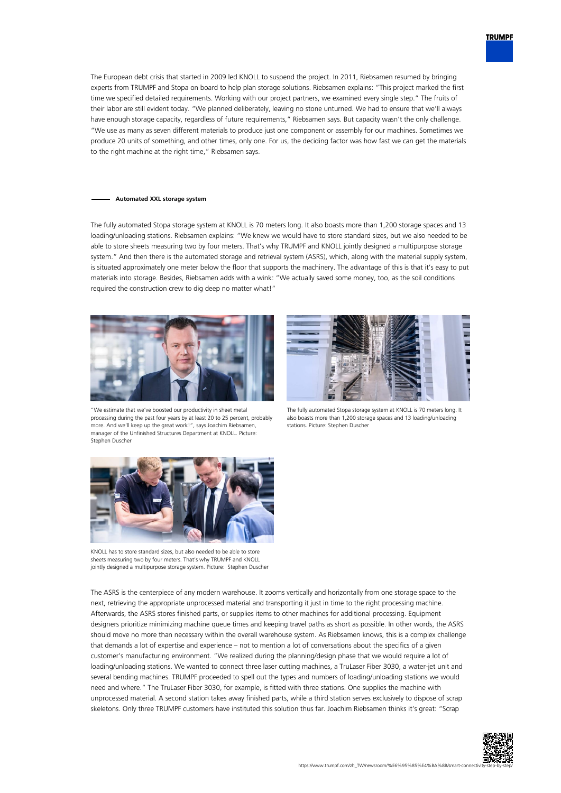

The European debt crisis that started in 2009 led KNOLL to suspend the project. In 2011, Riebsamen resumed by bringing experts from TRUMPF and Stopa on board to help plan storage solutions. Riebsamen explains: "This project marked the first time we specified detailed requirements. Working with our project partners, we examined every single step." The fruits of their labor are still evident today. "We planned deliberately, leaving no stone unturned. We had to ensure that we'll always have enough storage capacity, regardless of future requirements," Riebsamen says. But capacity wasn't the only challenge. "We use as many as seven different materials to produce just one component or assembly for our machines. Sometimes we produce 20 units of something, and other times, only one. For us, the deciding factor was how fast we can get the materials to the right machine at the right time," Riebsamen says.

### **Automated XXL storage system**

The fully automated Stopa storage system at KNOLL is 70 meters long. It also boasts more than 1,200 storage spaces and 13 loading/unloading stations. Riebsamen explains: "We knew we would have to store standard sizes, but we also needed to be able to store sheets measuring two by four meters. That's why TRUMPF and KNOLL jointly designed a multipurpose storage system." And then there is the automated storage and retrieval system (ASRS), which, along with the material supply system, is situated approximately one meter below the floor that supports the machinery. The advantage of this is that it's easy to put materials into storage. Besides, Riebsamen adds with a wink: "We actually saved some money, too, as the soil conditions required the construction crew to dig deep no matter what!"



"We estimate that we've boosted our productivity in sheet metal processing during the past four years by at least 20 to 25 percent, probably more. And we'll keep up the great work!", says Joachim Riebsamen, manager of the Unfinished Structures Department at KNOLL. Picture: Stephen Duscher



The fully automated Stopa storage system at KNOLL is 70 meters long. It also boasts more than 1,200 storage spaces and 13 loading/unloading stations. Picture: Stephen Duscher



KNOLL has to store standard sizes, but also needed to be able to store sheets measuring two by four meters. That's why TRUMPF and KNOLL jointly designed a multipurpose storage system. Picture: Stephen Duscher

The ASRS is the centerpiece of any modern warehouse. It zooms vertically and horizontally from one storage space to the next, retrieving the appropriate unprocessed material and transporting it just in time to the right processing machine. Afterwards, the ASRS stores finished parts, or supplies items to other machines for additional processing. Equipment designers prioritize minimizing machine queue times and keeping travel paths as short as possible. In other words, the ASRS should move no more than necessary within the overall warehouse system. As Riebsamen knows, this is a complex challenge that demands a lot of expertise and experience – not to mention a lot of conversations about the specifics of a given customer's manufacturing environment. "We realized during the planning/design phase that we would require a lot of loading/unloading stations. We wanted to connect three laser cutting machines, a TruLaser Fiber 3030, a water-jet unit and several bending machines. TRUMPF proceeded to spell out the types and numbers of loading/unloading stations we would need and where." The TruLaser Fiber 3030, for example, is fitted with three stations. One supplies the machine with unprocessed material. A second station takes away finished parts, while a third station serves exclusively to dispose of scrap skeletons. Only three TRUMPF customers have instituted this solution thus far. Joachim Riebsamen thinks it's great: "Scrap

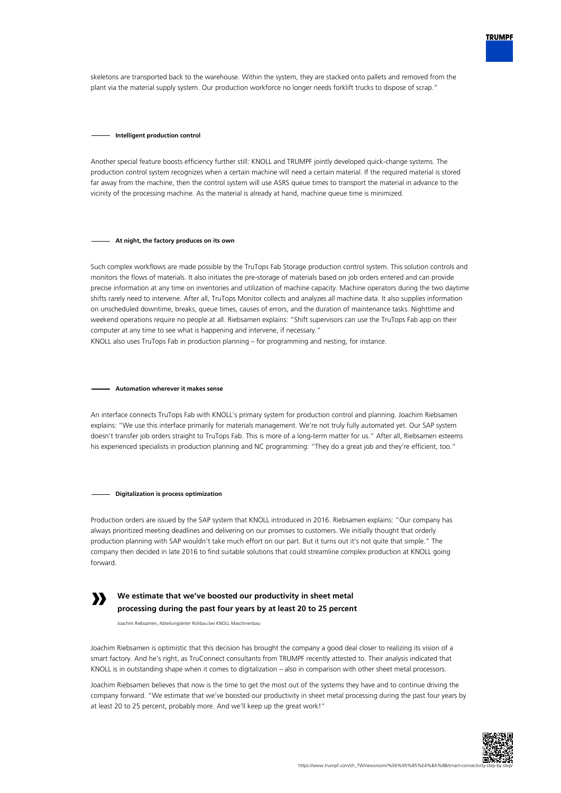

skeletons are transported back to the warehouse. Within the system, they are stacked onto pallets and removed from the plant via the material supply system. Our production workforce no longer needs forklift trucks to dispose of scrap."

#### **Intelligent production control**

Another special feature boosts efficiency further still: KNOLL and TRUMPF jointly developed quick-change systems. The production control system recognizes when a certain machine will need a certain material. If the required material is stored far away from the machine, then the control system will use ASRS queue times to transport the material in advance to the vicinity of the processing machine. As the material is already at hand, machine queue time is minimized.

## **At night, the factory produces on its own**

Such complex workflows are made possible by the TruTops Fab Storage production control system. This solution controls and monitors the flows of materials. It also initiates the pre-storage of materials based on job orders entered and can provide precise information at any time on inventories and utilization of machine capacity. Machine operators during the two daytime shifts rarely need to intervene. After all, TruTops Monitor collects and analyzes all machine data. It also supplies information on unscheduled downtime, breaks, queue times, causes of errors, and the duration of maintenance tasks. Nighttime and weekend operations require no people at all. Riebsamen explains: "Shift supervisors can use the TruTops Fab app on their computer at any time to see what is happening and intervene, if necessary."

KNOLL also uses TruTops Fab in production planning – for programming and nesting, for instance.

## **Automation wherever it makes sense**

An interface connects TruTops Fab with KNOLL's primary system for production control and planning. Joachim Riebsamen explains: "We use this interface primarily for materials management. We're not truly fully automated yet. Our SAP system doesn't transfer job orders straight to TruTops Fab. This is more of a long-term matter for us." After all, Riebsamen esteems his experienced specialists in production planning and NC programming: "They do a great job and they're efficient, too."

#### **Digitalization is process optimization**

Production orders are issued by the SAP system that KNOLL introduced in 2016. Riebsamen explains: "Our company has always prioritized meeting deadlines and delivering on our promises to customers. We initially thought that orderly production planning with SAP wouldn't take much effort on our part. But it turns out it's not quite that simple." The company then decided in late 2016 to find suitable solutions that could streamline complex production at KNOLL going forward.



# **We estimate that we've boosted our productivity in sheet metal processing during the past four years by at least 20 to 25 percent**

Joachim Riebsamen, Abteilungsleiter Rohbau bei KNOLL Maschinenbau

Joachim Riebsamen is optimistic that this decision has brought the company a good deal closer to realizing its vision of a smart factory. And he's right, as TruConnect consultants from TRUMPF recently attested to. Their analysis indicated that KNOLL is in outstanding shape when it comes to digitalization – also in comparison with other sheet metal processors.

Joachim Riebsamen believes that now is the time to get the most out of the systems they have and to continue driving the company forward. "We estimate that we've boosted our productivity in sheet metal processing during the past four years by at least 20 to 25 percent, probably more. And we'll keep up the great work!"